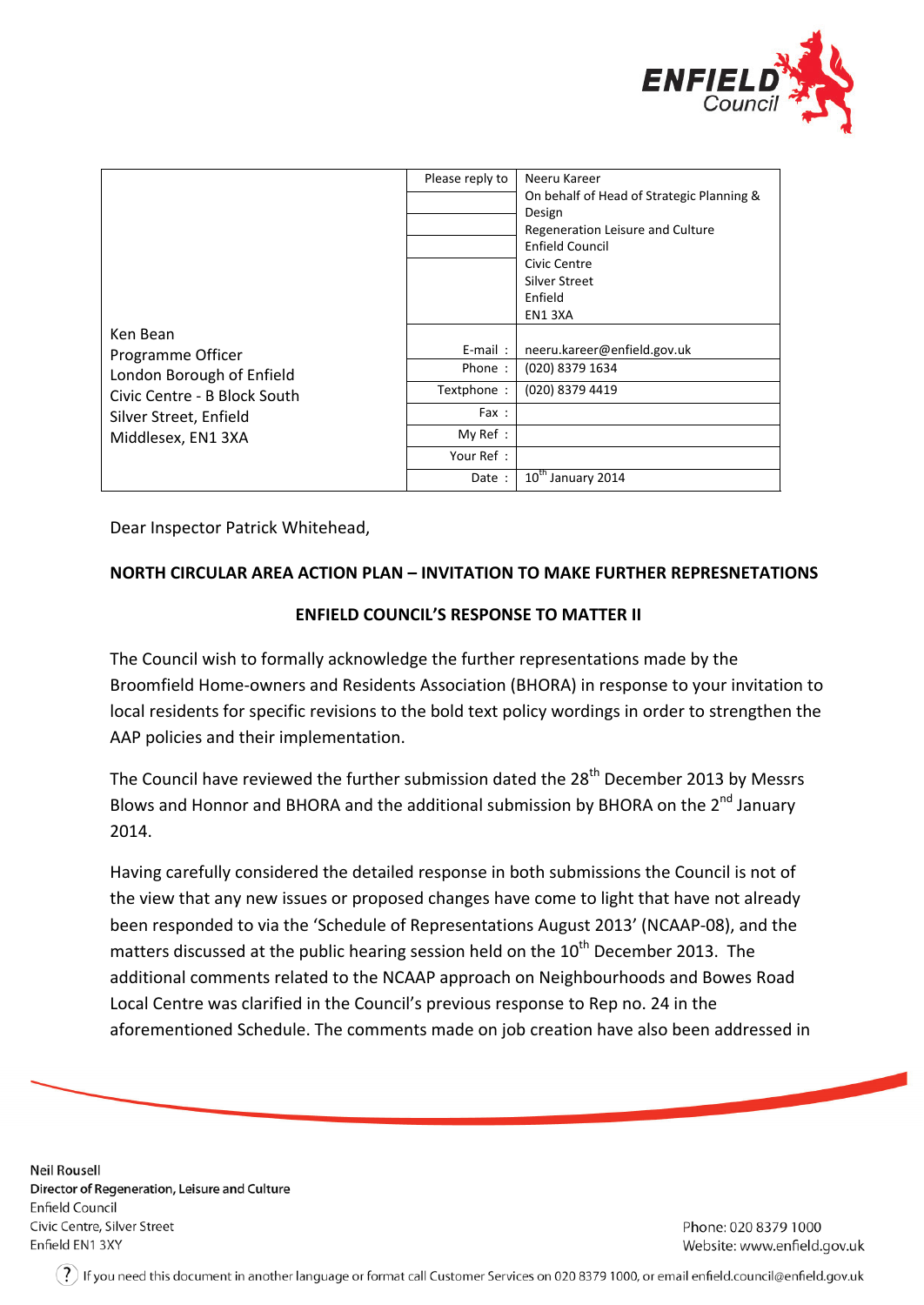

| Ken Bean<br>Programme Officer<br>London Borough of Enfield<br>Civic Centre - B Block South<br>Silver Street, Enfield<br>Middlesex, EN1 3XA | Please reply to | Neeru Kareer<br>On behalf of Head of Strategic Planning &<br>Design<br>Regeneration Leisure and Culture<br><b>Enfield Council</b><br>Civic Centre<br>Silver Street<br>Enfield |
|--------------------------------------------------------------------------------------------------------------------------------------------|-----------------|-------------------------------------------------------------------------------------------------------------------------------------------------------------------------------|
|                                                                                                                                            |                 | EN13XA                                                                                                                                                                        |
|                                                                                                                                            | $E$ -mail:      | neeru.kareer@enfield.gov.uk                                                                                                                                                   |
|                                                                                                                                            | Phone:          | (020) 8379 1634                                                                                                                                                               |
|                                                                                                                                            | Textphone:      | (020) 8379 4419                                                                                                                                                               |
|                                                                                                                                            | Fax :           |                                                                                                                                                                               |
|                                                                                                                                            | My Ref:         |                                                                                                                                                                               |
|                                                                                                                                            | Your Ref:       |                                                                                                                                                                               |
|                                                                                                                                            | Date :          | 10 <sup>th</sup> January 2014                                                                                                                                                 |

Dear Inspector Patrick Whitehead,

## **NORTH CIRCULAR AREA ACTION PLAN – INVITATION TO MAKE FURTHER REPRESNETATIONS**

## **ENFIELD COUNCIL'S RESPONSE TO MATTER II**

The Council wish to formally acknowledge the further representations made by the Broomfield Home-owners and Residents Association (BHORA) in response to your invitation to local residents for specific revisions to the bold text policy wordings in order to strengthen the AAP policies and their implementation.

The Council have reviewed the further submission dated the 28<sup>th</sup> December 2013 by Messrs Blows and Honnor and BHORA and the additional submission by BHORA on the 2<sup>nd</sup> January 2014.

Having carefully considered the detailed response in both submissions the Council is not of the view that any new issues or proposed changes have come to light that have not already been responded to via the 'Schedule of Representations August 2013' (NCAAP-08), and the matters discussed at the public hearing session held on the  $10^{th}$  December 2013. The additional comments related to the NCAAP approach on Neighbourhoods and Bowes Road Local Centre was clarified in the Council's previous response to Rep no. 24 in the aforementioned Schedule. The comments made on job creation have also been addressed in

**Neil Rousell** Director of Regeneration, Leisure and Culture Enfield Council Civic Centre, Silver Street Enfield EN1 3XY

Phone: 020 8379 1000 Website: www.enfield.gov.uk

 $(\,?\,)$  If you need this document in another language or format call Customer Services on 020 8379 1000, or email enfield.council@enfield.gov.uk